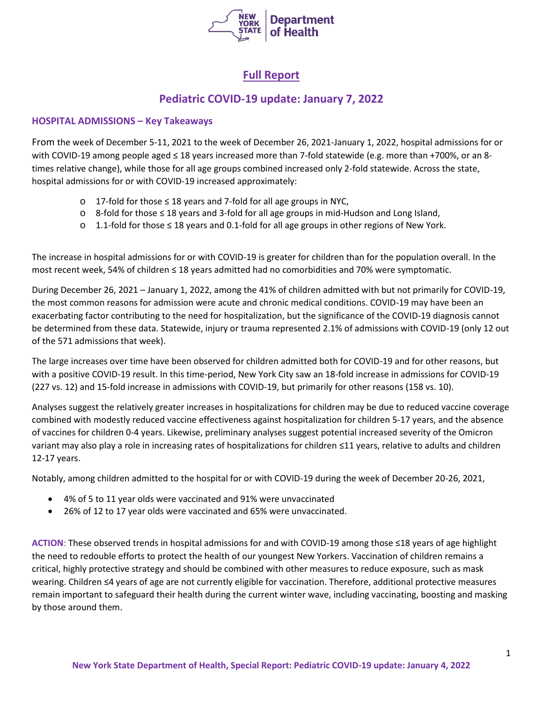

# **Full Report**

# **Pediatric COVID-19 update: January 7, 2022**

## **HOSPITAL ADMISSIONS – Key Takeaways**

From the week of December 5-11, 2021 to the week of December 26, 2021-January 1, 2022, hospital admissions for or with COVID-19 among people aged ≤ 18 years increased more than 7-fold statewide (e.g. more than +700%, or an 8times relative change), while those for all age groups combined increased only 2-fold statewide. Across the state, hospital admissions for or with COVID-19 increased approximately:

- o 17-fold for those ≤ 18 years and 7-fold for all age groups in NYC,
- o 8-fold for those ≤ 18 years and 3-fold for all age groups in mid-Hudson and Long Island,
- o 1.1-fold for those ≤ 18 years and 0.1-fold for all age groups in other regions of New York.

The increase in hospital admissions for or with COVID-19 is greater for children than for the population overall. In the most recent week, 54% of children ≤ 18 years admitted had no comorbidities and 70% were symptomatic.

During December 26, 2021 – January 1, 2022, among the 41% of children admitted with but not primarily for COVID-19, the most common reasons for admission were acute and chronic medical conditions. COVID-19 may have been an exacerbating factor contributing to the need for hospitalization, but the significance of the COVID-19 diagnosis cannot be determined from these data. Statewide, injury or trauma represented 2.1% of admissions with COVID-19 (only 12 out of the 571 admissions that week).

The large increases over time have been observed for children admitted both for COVID-19 and for other reasons, but with a positive COVID-19 result. In this time-period, New York City saw an 18-fold increase in admissions for COVID-19 (227 vs. 12) and 15-fold increase in admissions with COVID-19, but primarily for other reasons (158 vs. 10).

Analyses suggest the relatively greater increases in hospitalizations for children may be due to reduced vaccine coverage combined with modestly reduced vaccine effectiveness against hospitalization for children 5-17 years, and the absence of vaccines for children 0-4 years. Likewise, preliminary analyses suggest potential increased severity of the Omicron variant may also play a role in increasing rates of hospitalizations for children ≤11 years, relative to adults and children 12-17 years.

Notably, among children admitted to the hospital for or with COVID-19 during the week of December 20-26, 2021,

- 4% of 5 to 11 year olds were vaccinated and 91% were unvaccinated
- 26% of 12 to 17 year olds were vaccinated and 65% were unvaccinated.

**ACTION**: These observed trends in hospital admissions for and with COVID-19 among those ≤18 years of age highlight the need to redouble efforts to protect the health of our youngest New Yorkers. Vaccination of children remains a critical, highly protective strategy and should be combined with other measures to reduce exposure, such as mask wearing. Children ≤4 years of age are not currently eligible for vaccination. Therefore, additional protective measures remain important to safeguard their health during the current winter wave, including vaccinating, boosting and masking by those around them.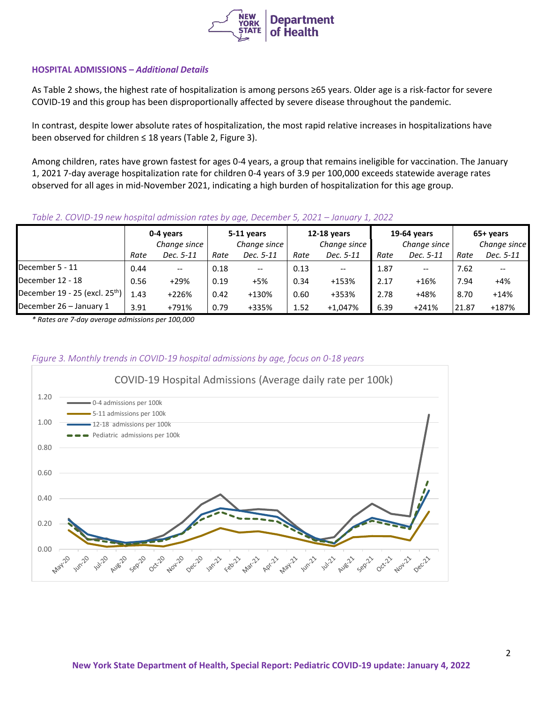

### **HOSPITAL ADMISSIONS –** *Additional Details*

As Table 2 shows, the highest rate of hospitalization is among persons ≥65 years. Older age is a risk-factor for severe COVID-19 and this group has been disproportionally affected by severe disease throughout the pandemic.

In contrast, despite lower absolute rates of hospitalization, the most rapid relative increases in hospitalizations have been observed for children ≤ 18 years (Table 2, Figure 3).

Among children, rates have grown fastest for ages 0-4 years, a group that remains ineligible for vaccination. The January 1, 2021 7-day average hospitalization rate for children 0-4 years of 3.9 per 100,000 exceeds statewide average rates observed for all ages in mid-November 2021, indicating a high burden of hospitalization for this age group.

### *Table 2. COVID-19 new hospital admission rates by age, December 5, 2021 – January 1, 2022*

|                                            |      | 0-4 years                                           |      | 5-11 years   |      | <b>12-18 years</b>                                  |      | 19-64 years              |       | 65+ years    |  |
|--------------------------------------------|------|-----------------------------------------------------|------|--------------|------|-----------------------------------------------------|------|--------------------------|-------|--------------|--|
|                                            |      | Change since                                        |      | Change since |      | Change since                                        |      | Change since             |       | Change since |  |
|                                            | Rate | Dec. 5-11                                           | Rate | Dec. 5-11    | Rate | Dec. 5-11                                           | Rate | Dec. 5-11                | Rate  | Dec. 5-11    |  |
| December 5 - 11                            | 0.44 | $\hspace{0.05cm} -\hspace{0.05cm} -\hspace{0.05cm}$ | 0.18 | $- -$        | 0.13 | $\hspace{0.05cm} -\hspace{0.05cm} -\hspace{0.05cm}$ | 1.87 | $\hspace{0.05cm} \ldots$ | 7.62  |              |  |
| December 12 - 18                           | 0.56 | $+29%$                                              | 0.19 | $+5%$        | 0.34 | $+153%$                                             | 2.17 | $+16%$                   | 7.94  | $+4%$        |  |
| December 19 - 25 (excl. 25 <sup>th</sup> ) | 1.43 | +226%                                               | 0.42 | +130%        | 0.60 | +353%                                               | 2.78 | +48%                     | 8.70  | $+14%$       |  |
| December 26 - January 1                    | 3.91 | +791%                                               | 0.79 | +335%        | 1.52 | $+1,047%$                                           | 6.39 | $+241%$                  | 21.87 | +187%        |  |

*\* Rates are 7-day average admissions per 100,000*

## *Figure 3. Monthly trends in COVID-19 hospital admissions by age, focus on 0-18 years*

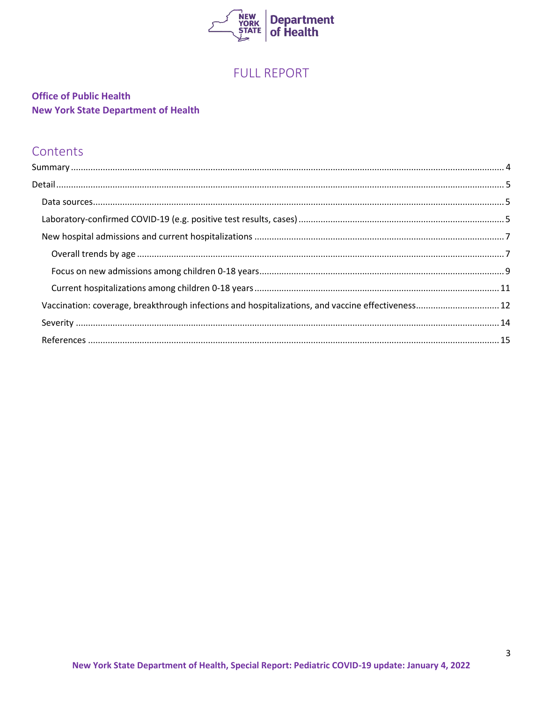

# **FULL REPORT**

# **Office of Public Health New York State Department of Health**

# Contents

| Vaccination: coverage, breakthrough infections and hospitalizations, and vaccine effectiveness 12 |  |
|---------------------------------------------------------------------------------------------------|--|
|                                                                                                   |  |
|                                                                                                   |  |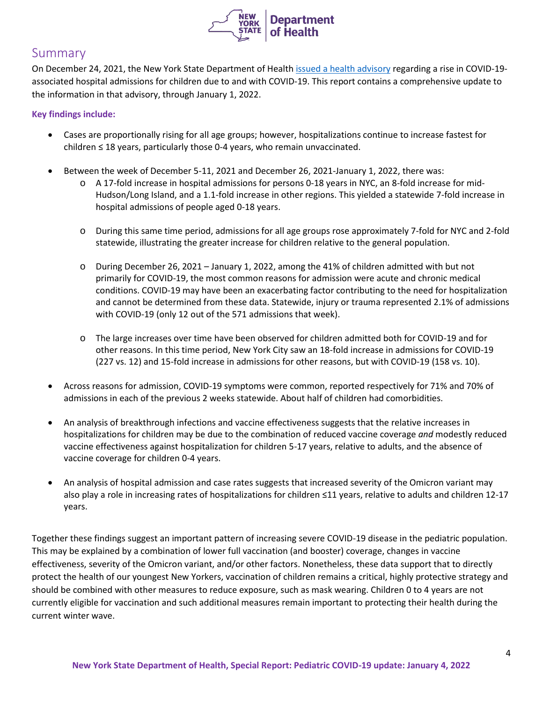

# <span id="page-3-0"></span>Summary

On December 24, 2021, the New York State Department of Healt[h issued a health advisory](https://www.health.ny.gov/press/releases/2021/2021-12-24_health_advisory.htm) regarding a rise in COVID-19associated hospital admissions for children due to and with COVID-19. This report contains a comprehensive update to the information in that advisory, through January 1, 2022.

## **Key findings include:**

- Cases are proportionally rising for all age groups; however, hospitalizations continue to increase fastest for children ≤ 18 years, particularly those 0-4 years, who remain unvaccinated.
- Between the week of December 5-11, 2021 and December 26, 2021-January 1, 2022, there was:
	- o A 17-fold increase in hospital admissions for persons 0-18 years in NYC, an 8-fold increase for mid-Hudson/Long Island, and a 1.1-fold increase in other regions. This yielded a statewide 7-fold increase in hospital admissions of people aged 0-18 years.
	- o During this same time period, admissions for all age groups rose approximately 7-fold for NYC and 2-fold statewide, illustrating the greater increase for children relative to the general population.
	- o During December 26, 2021 January 1, 2022, among the 41% of children admitted with but not primarily for COVID-19, the most common reasons for admission were acute and chronic medical conditions. COVID-19 may have been an exacerbating factor contributing to the need for hospitalization and cannot be determined from these data. Statewide, injury or trauma represented 2.1% of admissions with COVID-19 (only 12 out of the 571 admissions that week).
	- o The large increases over time have been observed for children admitted both for COVID-19 and for other reasons. In this time period, New York City saw an 18-fold increase in admissions for COVID-19 (227 vs. 12) and 15-fold increase in admissions for other reasons, but with COVID-19 (158 vs. 10).
- Across reasons for admission, COVID-19 symptoms were common, reported respectively for 71% and 70% of admissions in each of the previous 2 weeks statewide. About half of children had comorbidities.
- An analysis of breakthrough infections and vaccine effectiveness suggests that the relative increases in hospitalizations for children may be due to the combination of reduced vaccine coverage *and* modestly reduced vaccine effectiveness against hospitalization for children 5-17 years, relative to adults, and the absence of vaccine coverage for children 0-4 years.
- An analysis of hospital admission and case rates suggests that increased severity of the Omicron variant may also play a role in increasing rates of hospitalizations for children ≤11 years, relative to adults and children 12-17 years.

Together these findings suggest an important pattern of increasing severe COVID-19 disease in the pediatric population. This may be explained by a combination of lower full vaccination (and booster) coverage, changes in vaccine effectiveness, severity of the Omicron variant, and/or other factors. Nonetheless, these data support that to directly protect the health of our youngest New Yorkers, vaccination of children remains a critical, highly protective strategy and should be combined with other measures to reduce exposure, such as mask wearing. Children 0 to 4 years are not currently eligible for vaccination and such additional measures remain important to protecting their health during the current winter wave.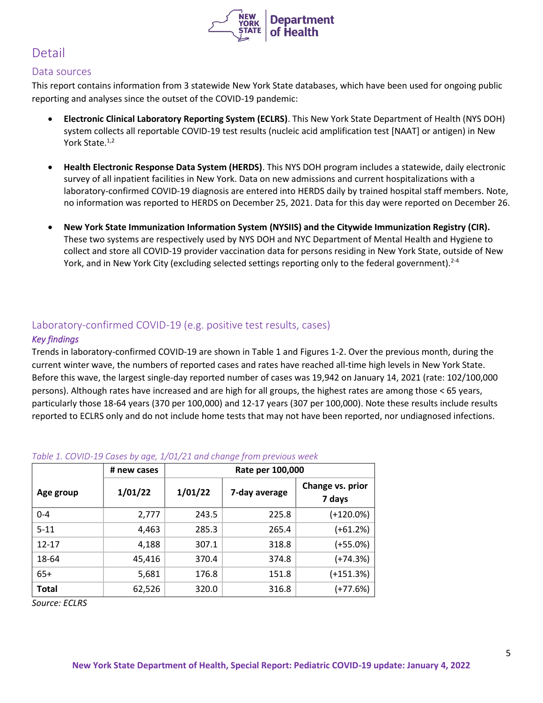

# <span id="page-4-0"></span>Detail

## <span id="page-4-1"></span>Data sources

This report contains information from 3 statewide New York State databases, which have been used for ongoing public reporting and analyses since the outset of the COVID-19 pandemic:

- **Electronic Clinical Laboratory Reporting System (ECLRS)**. This New York State Department of Health (NYS DOH) system collects all reportable COVID-19 test results (nucleic acid amplification test [NAAT] or antigen) in New York State.<sup>1,2</sup>
- **Health Electronic Response Data System (HERDS)**. This NYS DOH program includes a statewide, daily electronic survey of all inpatient facilities in New York. Data on new admissions and current hospitalizations with a laboratory-confirmed COVID-19 diagnosis are entered into HERDS daily by trained hospital staff members. Note, no information was reported to HERDS on December 25, 2021. Data for this day were reported on December 26.
- **New York State Immunization Information System (NYSIIS) and the Citywide Immunization Registry (CIR).** These two systems are respectively used by NYS DOH and NYC Department of Mental Health and Hygiene to collect and store all COVID-19 provider vaccination data for persons residing in New York State, outside of New York, and in New York City (excluding selected settings reporting only to the federal government).  $2^{-4}$

# <span id="page-4-2"></span>Laboratory-confirmed COVID-19 (e.g. positive test results, cases)

## *Key findings*

Trends in laboratory-confirmed COVID-19 are shown in Table 1 and Figures 1-2. Over the previous month, during the current winter wave, the numbers of reported cases and rates have reached all-time high levels in New York State. Before this wave, the largest single-day reported number of cases was 19,942 on January 14, 2021 (rate: 102/100,000 persons). Although rates have increased and are high for all groups, the highest rates are among those < 65 years, particularly those 18-64 years (370 per 100,000) and 12-17 years (307 per 100,000). Note these results include results reported to ECLRS only and do not include home tests that may not have been reported, nor undiagnosed infections.

|              | # new cases | Rate per 100,000 |               |                            |  |  |  |  |
|--------------|-------------|------------------|---------------|----------------------------|--|--|--|--|
| Age group    | 1/01/22     | 1/01/22          | 7-day average | Change vs. prior<br>7 days |  |  |  |  |
| $0 - 4$      | 2,777       | 243.5            | 225.8         | $(+120.0\%)$               |  |  |  |  |
| $5 - 11$     | 4,463       | 285.3            | 265.4         | $(+61.2%)$                 |  |  |  |  |
| $12 - 17$    | 4,188       | 307.1            | 318.8         | $(+55.0%)$                 |  |  |  |  |
| 18-64        | 45,416      | 370.4            | 374.8         | $(+74.3%)$                 |  |  |  |  |
| $65+$        | 5,681       | 176.8            | 151.8         | $(+151.3%)$                |  |  |  |  |
| <b>Total</b> | 62,526      | 320.0            | 316.8         | $(+77.6%)$                 |  |  |  |  |

# *Table 1. COVID-19 Cases by age, 1/01/21 and change from previous week*

*Source: ECLRS*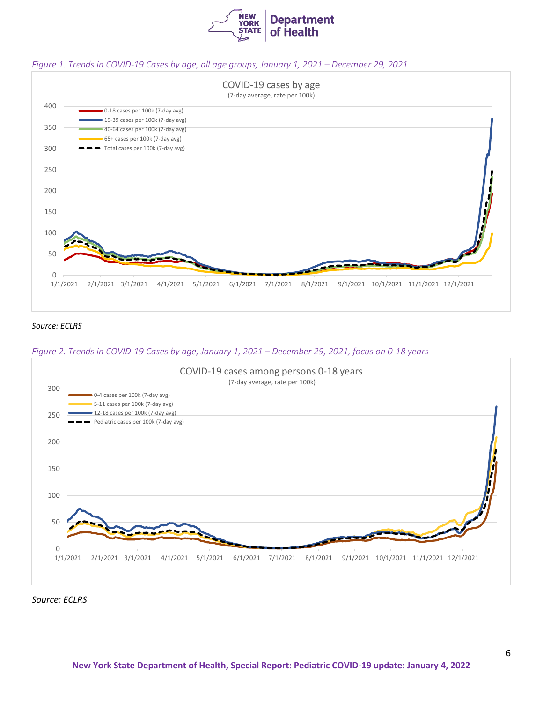

#### *Figure 1. Trends in COVID-19 Cases by age, all age groups, January 1, 2021 – December 29, 2021*



#### *Source: ECLRS*

#### *Figure 2. Trends in COVID-19 Cases by age, January 1, 2021 – December 29, 2021, focus on 0-18 years*



*Source: ECLRS*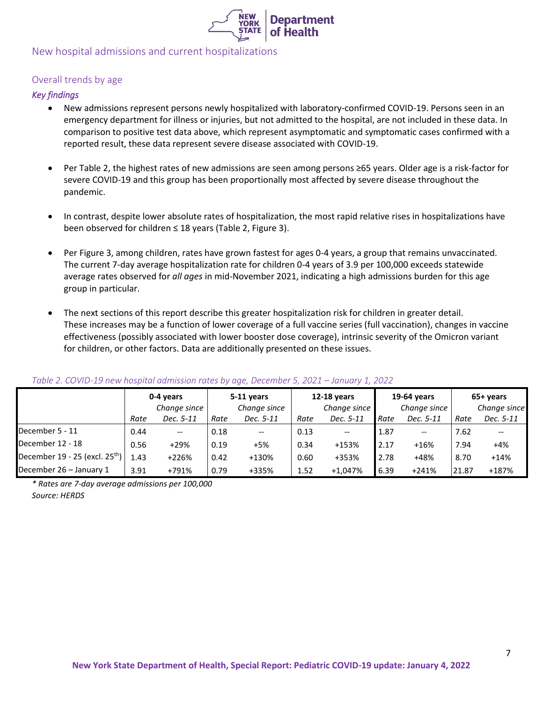

# <span id="page-6-0"></span>New hospital admissions and current hospitalizations

## <span id="page-6-1"></span>Overall trends by age

## *Key findings*

- New admissions represent persons newly hospitalized with laboratory-confirmed COVID-19. Persons seen in an emergency department for illness or injuries, but not admitted to the hospital, are not included in these data. In comparison to positive test data above, which represent asymptomatic and symptomatic cases confirmed with a reported result, these data represent severe disease associated with COVID-19.
- Per Table 2, the highest rates of new admissions are seen among persons ≥65 years. Older age is a risk-factor for severe COVID-19 and this group has been proportionally most affected by severe disease throughout the pandemic.
- In contrast, despite lower absolute rates of hospitalization, the most rapid relative rises in hospitalizations have been observed for children ≤ 18 years (Table 2, Figure 3).
- Per Figure 3, among children, rates have grown fastest for ages 0-4 years, a group that remains unvaccinated. The current 7-day average hospitalization rate for children 0-4 years of 3.9 per 100,000 exceeds statewide average rates observed for *all ages* in mid-November 2021, indicating a high admissions burden for this age group in particular.
- The next sections of this report describe this greater hospitalization risk for children in greater detail. These increases may be a function of lower coverage of a full vaccine series (full vaccination), changes in vaccine effectiveness (possibly associated with lower booster dose coverage), intrinsic severity of the Omicron variant for children, or other factors. Data are additionally presented on these issues.

|                                    | 0-4 years<br>Change since |                          |      | 5-11 years<br>Change since |      | <b>12-18 years</b><br>Change since |      | 19-64 years<br>Change since |       | 65+ years<br>Change since |  |
|------------------------------------|---------------------------|--------------------------|------|----------------------------|------|------------------------------------|------|-----------------------------|-------|---------------------------|--|
|                                    | Rate                      | Dec. 5-11                | Rate | Dec. 5-11                  | Rate | Dec. 5-11                          | Rate | Dec. 5-11                   | Rate  | Dec. 5-11                 |  |
| December 5 - 11                    | 0.44                      | $\overline{\phantom{a}}$ | 0.18 | $\hspace{0.05cm} \ldots$   | 0.13 | --                                 | 1.87 | $- -$                       | 7.62  | $- -$                     |  |
| December 12 - 18                   | 0.56                      | $+29%$                   | 0.19 | +5%                        | 0.34 | $+153%$                            | 2.17 | $+16%$                      | 7.94  | $+4%$                     |  |
| December $19 - 25$ (excl. $25th$ ) | 1.43                      | +226%                    | 0.42 | +130%                      | 0.60 | +353%                              | 2.78 | +48%                        | 8.70  | $+14%$                    |  |
| December 26 - January 1            | 3.91                      | +791%                    | 0.79 | +335%                      | 1.52 | $+1.047%$                          | 6.39 | $+241%$                     | 21.87 | +187%                     |  |

#### *Table 2. COVID-19 new hospital admission rates by age, December 5, 2021 – January 1, 2022*

*\* Rates are 7-day average admissions per 100,000 Source: HERDS*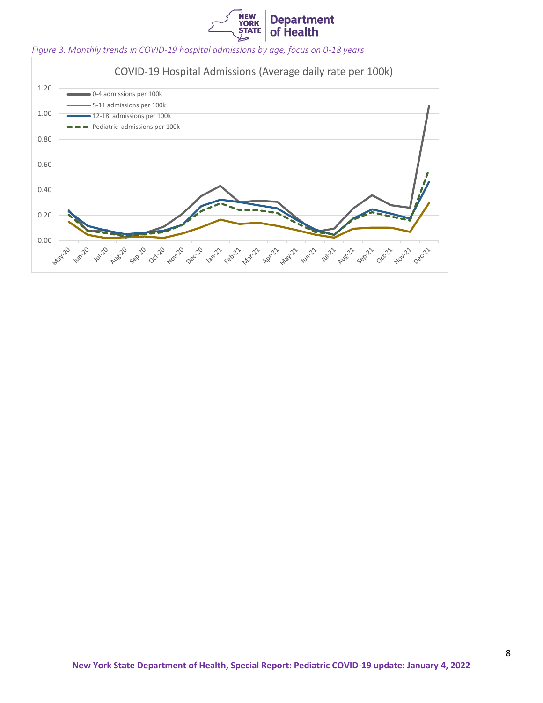

### *Figure 3. Monthly trends in COVID-19 hospital admissions by age, focus on 0-18 years*

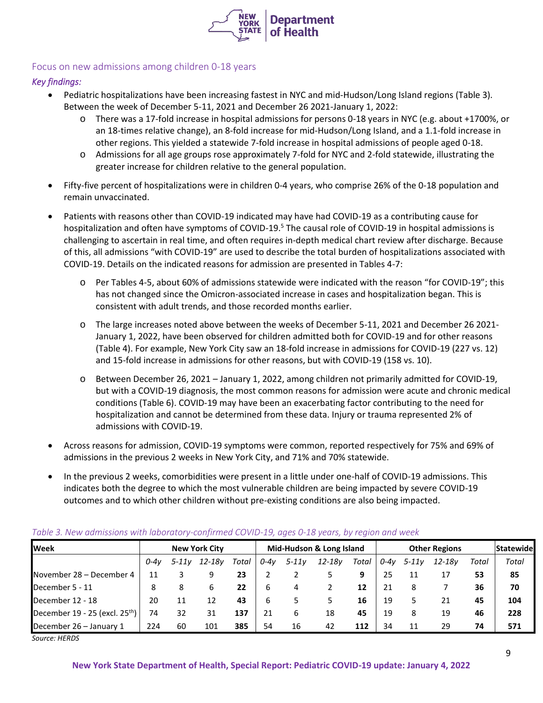

## <span id="page-8-0"></span>Focus on new admissions among children 0-18 years

## *Key findings:*

- Pediatric hospitalizations have been increasing fastest in NYC and mid-Hudson/Long Island regions (Table 3). Between the week of December 5-11, 2021 and December 26 2021-January 1, 2022:
	- o There was a 17-fold increase in hospital admissions for persons 0-18 years in NYC (e.g. about +1700%, or an 18-times relative change), an 8-fold increase for mid-Hudson/Long Island, and a 1.1-fold increase in other regions. This yielded a statewide 7-fold increase in hospital admissions of people aged 0-18.
	- o Admissions for all age groups rose approximately 7-fold for NYC and 2-fold statewide, illustrating the greater increase for children relative to the general population.
- Fifty-five percent of hospitalizations were in children 0-4 years, who comprise 26% of the 0-18 population and remain unvaccinated.
- Patients with reasons other than COVID-19 indicated may have had COVID-19 as a contributing cause for hospitalization and often have symptoms of COVID-19.<sup>5</sup> The causal role of COVID-19 in hospital admissions is challenging to ascertain in real time, and often requires in-depth medical chart review after discharge. Because of this, all admissions "with COVID-19" are used to describe the total burden of hospitalizations associated with COVID-19. Details on the indicated reasons for admission are presented in Tables 4-7:
	- o Per Tables 4-5, about 60% of admissions statewide were indicated with the reason "for COVID-19"; this has not changed since the Omicron-associated increase in cases and hospitalization began. This is consistent with adult trends, and those recorded months earlier.
	- o The large increases noted above between the weeks of December 5-11, 2021 and December 26 2021- January 1, 2022, have been observed for children admitted both for COVID-19 and for other reasons (Table 4). For example, New York City saw an 18-fold increase in admissions for COVID-19 (227 vs. 12) and 15-fold increase in admissions for other reasons, but with COVID-19 (158 vs. 10).
	- o Between December 26, 2021 January 1, 2022, among children not primarily admitted for COVID-19, but with a COVID-19 diagnosis, the most common reasons for admission were acute and chronic medical conditions (Table 6). COVID-19 may have been an exacerbating factor contributing to the need for hospitalization and cannot be determined from these data. Injury or trauma represented 2% of admissions with COVID-19.
- Across reasons for admission, COVID-19 symptoms were common, reported respectively for 75% and 69% of admissions in the previous 2 weeks in New York City, and 71% and 70% statewide.
- In the previous 2 weeks, comorbidities were present in a little under one-half of COVID-19 admissions. This indicates both the degree to which the most vulnerable children are being impacted by severe COVID-19 outcomes and to which other children without pre-existing conditions are also being impacted.

| $\frac{1}{2}$ and $\frac{1}{2}$ and $\frac{1}{2}$ and $\frac{1}{2}$ and $\frac{1}{2}$ and $\frac{1}{2}$ and $\frac{1}{2}$ and $\frac{1}{2}$ and $\frac{1}{2}$ and $\frac{1}{2}$ and $\frac{1}{2}$ and $\frac{1}{2}$ |        |                      |            |       |        |                          |            |       |                      |           |            |       |                  |
|---------------------------------------------------------------------------------------------------------------------------------------------------------------------------------------------------------------------|--------|----------------------|------------|-------|--------|--------------------------|------------|-------|----------------------|-----------|------------|-------|------------------|
| <b>Week</b>                                                                                                                                                                                                         |        | <b>New York City</b> |            |       |        | Mid-Hudson & Long Island |            |       | <b>Other Regions</b> |           |            |       | <b>Statewide</b> |
|                                                                                                                                                                                                                     | $0-4v$ | 5-11v                | $12 - 18v$ | Total | $0-4v$ | 5-11v                    | $12 - 18y$ | Total | 0-4v                 | $5 - 11v$ | $12 - 18v$ | Total | Total            |
| November 28 – December 4                                                                                                                                                                                            | 11     |                      |            | 23    |        |                          |            |       | 25                   |           | 17         | 53    | 85               |
| December 5 - 11                                                                                                                                                                                                     | 8      | 8                    |            | 22    | b      | 4                        |            | 12    | 21                   | 8         |            | 36    | 70               |
| December 12 - 18                                                                                                                                                                                                    | 20     | 11                   | 12         | 43    | b      |                          |            | 16    | 19                   |           | 21         | 45    | 104              |
| December 19 - 25 (excl. $25th$ )                                                                                                                                                                                    | 74     | 32                   | 31         | 137   | 21     | 6                        | 18         | 45    | 19                   | 8         | 19         | 46    | 228              |
| December 26 - January 1                                                                                                                                                                                             | 224    | 60                   | 101        | 385   | 54     | 16                       | 42         | 112   | 34                   |           | 29         | 74    | 571              |

#### *Table 3. New admissions with laboratory-confirmed COVID-19, ages 0-18 years, by region and week*

*Source: HERDS*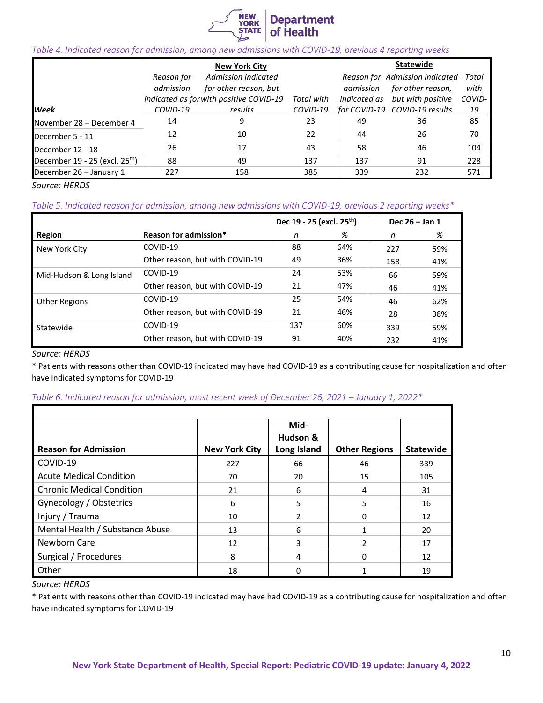

### *Table 4. Indicated reason for admission, among new admissions with COVID-19, previous 4 reporting weeks*

|                                    |            | <b>New York City</b>                    |            | <b>Statewide</b> |                                |        |  |
|------------------------------------|------------|-----------------------------------------|------------|------------------|--------------------------------|--------|--|
|                                    | Reason for | Admission indicated                     |            |                  | Reason for Admission indicated | Total  |  |
|                                    | admission  | for other reason, but                   |            | admission        | for other reason,              | with   |  |
|                                    |            | indicated as for with positive COVID-19 | Total with | indicated as     | but with positive              | COVID- |  |
| <b>Week</b>                        | COVID-19   | results                                 | COVID-19   |                  | for COVID-19 COVID-19 results  | 19     |  |
| November 28 – December 4           | 14         |                                         | 23         | 49               | 36                             | 85     |  |
| December 5 - 11                    | 12         | 10                                      | 22         | 44               | 26                             | 70     |  |
| December 12 - 18                   | 26         | 17                                      | 43         | 58               | 46                             | 104    |  |
| December $19 - 25$ (excl. $25th$ ) | 88         | 49                                      | 137        | 137              | 91                             | 228    |  |
| December 26 - January 1            | 227        | 158                                     | 385        | 339              | 232                            | 571    |  |

*Source: HERDS*

### *Table 5. Indicated reason for admission, among new admissions with COVID-19, previous 2 reporting weeks\**

|                          |                                 | Dec 19 - 25 (excl. 25 <sup>th</sup> ) |     | Dec 26 - Jan 1 |     |
|--------------------------|---------------------------------|---------------------------------------|-----|----------------|-----|
| Region                   | Reason for admission*           | n                                     | %   | n              | %   |
| New York City            | COVID-19                        | 88                                    | 64% | 227            | 59% |
|                          | Other reason, but with COVID-19 | 49                                    | 36% | 158            | 41% |
| Mid-Hudson & Long Island | COVID-19                        | 24                                    | 53% | 66             | 59% |
|                          | Other reason, but with COVID-19 | 21                                    | 47% | 46             | 41% |
| Other Regions            | COVID-19                        | 25                                    | 54% | 46             | 62% |
|                          | Other reason, but with COVID-19 | 21                                    | 46% | 28             | 38% |
| Statewide                | COVID-19                        | 137                                   | 60% | 339            | 59% |
|                          | Other reason, but with COVID-19 | 91                                    | 40% | 232            | 41% |

### *Source: HERDS*

\* Patients with reasons other than COVID-19 indicated may have had COVID-19 as a contributing cause for hospitalization and often have indicated symptoms for COVID-19

#### *Table 6. Indicated reason for admission, most recent week of December 26, 2021 – January 1, 2022\**

|                                  |                      | Mid-<br>Hudson & |                      |                  |
|----------------------------------|----------------------|------------------|----------------------|------------------|
| <b>Reason for Admission</b>      | <b>New York City</b> | Long Island      | <b>Other Regions</b> | <b>Statewide</b> |
| COVID-19                         | 227                  | 66               | 46                   | 339              |
| <b>Acute Medical Condition</b>   | 70                   | 20               | 15                   | 105              |
| <b>Chronic Medical Condition</b> | 21                   | 6                | 4                    | 31               |
| Gynecology / Obstetrics          | 6                    | 5                | 5                    | 16               |
| Injury / Trauma                  | 10                   | $\mathfrak{p}$   | $\Omega$             | 12               |
| Mental Health / Substance Abuse  | 13                   | 6                |                      | 20               |
| Newborn Care                     | 12                   | 3                | $\mathfrak{p}$       | 17               |
| Surgical / Procedures            | 8                    | 4                | 0                    | 12               |
| Other                            | 18                   |                  |                      | 19               |

*Source: HERDS*

\* Patients with reasons other than COVID-19 indicated may have had COVID-19 as a contributing cause for hospitalization and often have indicated symptoms for COVID-19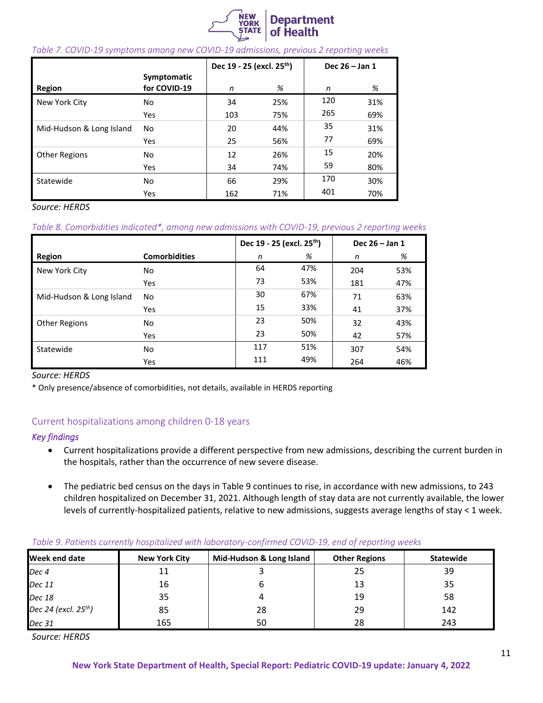

#### *Table 7. COVID-19 symptoms among new COVID-19 admissions, previous 2 reporting weeks*

|                          |                             | Dec 19 - 25 (excl. 25 <sup>th</sup> ) |     | Dec $26 - Jan 1$ |     |  |
|--------------------------|-----------------------------|---------------------------------------|-----|------------------|-----|--|
| Region                   | Symptomatic<br>for COVID-19 | n                                     | %   | n                | %   |  |
| New York City            | No                          | 34                                    | 25% | 120              | 31% |  |
|                          | <b>Yes</b>                  | 103                                   | 75% | 265              | 69% |  |
| Mid-Hudson & Long Island | No                          | 20                                    | 44% | 35               | 31% |  |
|                          | <b>Yes</b>                  | 25                                    | 56% | 77               | 69% |  |
| <b>Other Regions</b>     | No                          | 12                                    | 26% | 15               | 20% |  |
|                          | <b>Yes</b>                  | 34                                    | 74% | 59               | 80% |  |
| Statewide                | No                          | 66                                    | 29% | 170              | 30% |  |
|                          | Yes                         | 162                                   | 71% | 401              | 70% |  |

*Source: HERDS*

### *Table 8. Comorbidities indicated\*, among new admissions with COVID-19, previous 2 reporting weeks*

|                          |                      | Dec 19 - 25 (excl. 25 <sup>th</sup> ) |     | Dec $26 - Jan 1$ |     |  |
|--------------------------|----------------------|---------------------------------------|-----|------------------|-----|--|
| Region                   | <b>Comorbidities</b> | n                                     | %   | n                | %   |  |
| New York City            | No                   | 64                                    | 47% | 204              | 53% |  |
|                          | <b>Yes</b>           | 73                                    | 53% | 181              | 47% |  |
| Mid-Hudson & Long Island | No                   | 30                                    | 67% | 71               | 63% |  |
|                          | Yes                  | 15                                    | 33% | 41               | 37% |  |
| <b>Other Regions</b>     | No                   | 23                                    | 50% | 32               | 43% |  |
|                          | Yes                  | 23                                    | 50% | 42               | 57% |  |
| Statewide                | No                   | 117                                   | 51% | 307              | 54% |  |
|                          | Yes                  | 111                                   | 49% | 264              | 46% |  |

*Source: HERDS*

\* Only presence/absence of comorbidities, not details, available in HERDS reporting

## <span id="page-10-0"></span>Current hospitalizations among children 0-18 years

### *Key findings*

- Current hospitalizations provide a different perspective from new admissions, describing the current burden in the hospitals, rather than the occurrence of new severe disease.
- The pediatric bed census on the days in Table 9 continues to rise, in accordance with new admissions, to 243 children hospitalized on December 31, 2021. Although length of stay data are not currently available, the lower levels of currently-hospitalized patients, relative to new admissions, suggests average lengths of stay < 1 week.

## *Table 9. Patients currently hospitalized with laboratory-confirmed COVID-19, end of reporting weeks*

| <b>Week end date</b>             | <b>New York City</b> | Mid-Hudson & Long Island | <b>Other Regions</b> | <b>Statewide</b> |
|----------------------------------|----------------------|--------------------------|----------------------|------------------|
| Dec <sub>4</sub>                 | 11                   |                          | 25                   | 39               |
| Dec 11                           | 16                   |                          | 13                   | 35               |
| Dec 18                           | 35                   |                          | 19                   | 58               |
| Dec 24 (excl. 25 <sup>th</sup> ) | 85                   | 28                       | 29                   | 142              |
| Dec 31                           | 165                  | 50                       | 28                   | 243              |

*Source: HERDS*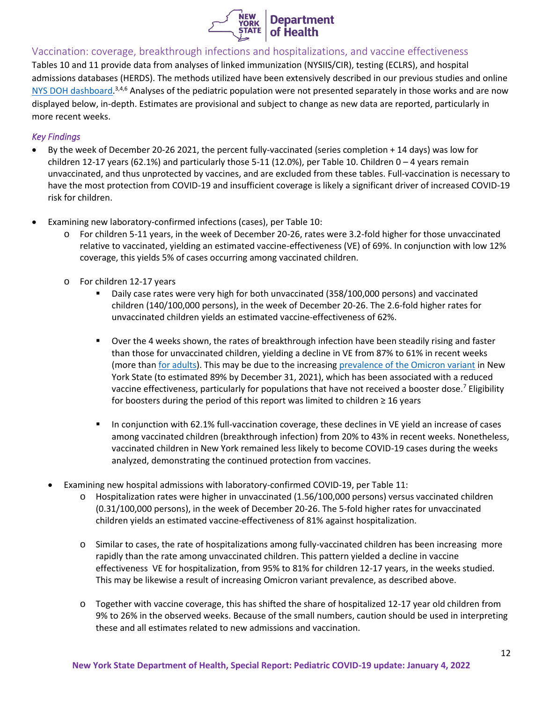

<span id="page-11-0"></span>Vaccination: coverage, breakthrough infections and hospitalizations, and vaccine effectiveness

Tables 10 and 11 provide data from analyses of linked immunization (NYSIIS/CIR), testing (ECLRS), and hospital admissions databases (HERDS). The methods utilized have been extensively described in our previous studies and online [NYS DOH dashboard.](https://coronavirus.health.ny.gov/covid-19-breakthrough-data)<sup>3,4,6</sup> Analyses of the pediatric population were not presented separately in those works and are now displayed below, in-depth. Estimates are provisional and subject to change as new data are reported, particularly in more recent weeks.

## *Key Findings*

- By the week of December 20-26 2021, the percent fully-vaccinated (series completion + 14 days) was low for children 12-17 years (62.1%) and particularly those 5-11 (12.0%), per Table 10. Children 0 – 4 years remain unvaccinated, and thus unprotected by vaccines, and are excluded from these tables. Full-vaccination is necessary to have the most protection from COVID-19 and insufficient coverage is likely a significant driver of increased COVID-19 risk for children.
- Examining new laboratory-confirmed infections (cases), per Table 10:
	- o For children 5-11 years, in the week of December 20-26, rates were 3.2-fold higher for those unvaccinated relative to vaccinated, yielding an estimated vaccine-effectiveness (VE) of 69%. In conjunction with low 12% coverage, this yields 5% of cases occurring among vaccinated children.
	- o For children 12-17 years
		- Daily case rates were very high for both unvaccinated (358/100,000 persons) and vaccinated children (140/100,000 persons), in the week of December 20-26. The 2.6-fold higher rates for unvaccinated children yields an estimated vaccine-effectiveness of 62%.
		- Over the 4 weeks shown, the rates of breakthrough infection have been steadily rising and faster than those for unvaccinated children, yielding a decline in VE from 87% to 61% in recent weeks (more tha[n for adults\)](https://coronavirus.health.ny.gov/covid-19-breakthrough-data). This may be due to the increasin[g prevalence of the Omicron variant](https://coronavirus.health.ny.gov/covid-19-variant-data) in New York State (to estimated 89% by December 31, 2021), which has been associated with a reduced vaccine effectiveness, particularly for populations that have not received a booster dose.<sup>7</sup> Eligibility for boosters during the period of this report was limited to children  $\geq 16$  years
		- In conjunction with 62.1% full-vaccination coverage, these declines in VE yield an increase of cases among vaccinated children (breakthrough infection) from 20% to 43% in recent weeks. Nonetheless, vaccinated children in New York remained less likely to become COVID-19 cases during the weeks analyzed, demonstrating the continued protection from vaccines.
	- Examining new hospital admissions with laboratory-confirmed COVID-19, per Table 11:
		- o Hospitalization rates were higher in unvaccinated (1.56/100,000 persons) versus vaccinated children (0.31/100,000 persons), in the week of December 20-26. The 5-fold higher rates for unvaccinated children yields an estimated vaccine-effectiveness of 81% against hospitalization.
		- o Similar to cases, the rate of hospitalizations among fully-vaccinated children has been increasing more rapidly than the rate among unvaccinated children. This pattern yielded a decline in vaccine effectiveness VE for hospitalization, from 95% to 81% for children 12-17 years, in the weeks studied. This may be likewise a result of increasing Omicron variant prevalence, as described above.
		- o Together with vaccine coverage, this has shifted the share of hospitalized 12-17 year old children from 9% to 26% in the observed weeks. Because of the small numbers, caution should be used in interpreting these and all estimates related to new admissions and vaccination.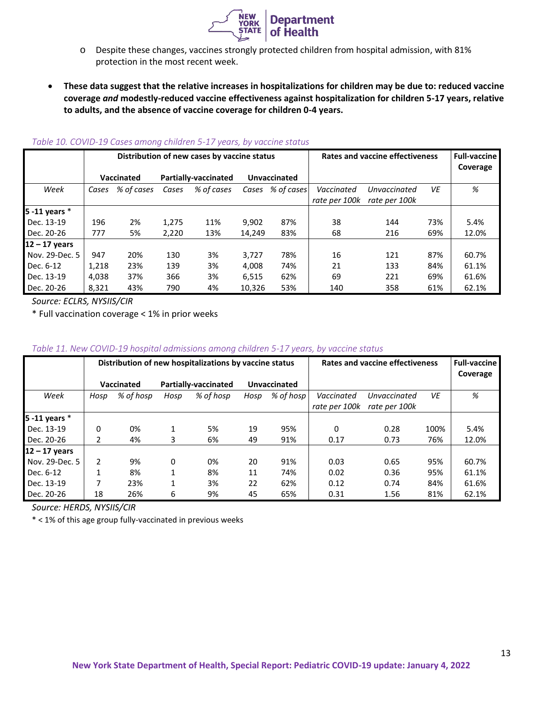

- o Despite these changes, vaccines strongly protected children from hospital admission, with 81% protection in the most recent week.
- **These data suggest that the relative increases in hospitalizations for children may be due to: reduced vaccine coverage** *and* **modestly-reduced vaccine effectiveness against hospitalization for children 5-17 years, relative to adults, and the absence of vaccine coverage for children 0-4 years.**

|                 |       |                   |                      | Distribution of new cases by vaccine status |              |            |               | <b>Rates and vaccine effectiveness</b> |     | <b>Full-vaccine</b> |
|-----------------|-------|-------------------|----------------------|---------------------------------------------|--------------|------------|---------------|----------------------------------------|-----|---------------------|
|                 |       |                   |                      |                                             |              |            |               |                                        |     | Coverage            |
|                 |       | <b>Vaccinated</b> | Partially-vaccinated |                                             | Unvaccinated |            |               |                                        |     |                     |
| Week            | Cases | % of cases        | Cases                | % of cases                                  | Cases        | % of cases | Vaccinated    | Unvaccinated                           | VE  | %                   |
|                 |       |                   |                      |                                             |              |            | rate per 100k | rate per 100k                          |     |                     |
| 5 -11 years $*$ |       |                   |                      |                                             |              |            |               |                                        |     |                     |
| Dec. 13-19      | 196   | 2%                | 1,275                | 11%                                         | 9,902        | 87%        | 38            | 144                                    | 73% | 5.4%                |
| Dec. 20-26      | 777   | 5%                | 2,220                | 13%                                         | 14,249       | 83%        | 68            | 216                                    | 69% | 12.0%               |
| $12 - 17$ years |       |                   |                      |                                             |              |            |               |                                        |     |                     |
| Nov. 29-Dec. 5  | 947   | 20%               | 130                  | 3%                                          | 3,727        | 78%        | 16            | 121                                    | 87% | 60.7%               |
| Dec. 6-12       | 1,218 | 23%               | 139                  | 3%                                          | 4.008        | 74%        | 21            | 133                                    | 84% | 61.1%               |
| Dec. 13-19      | 4,038 | 37%               | 366                  | 3%                                          | 6,515        | 62%        | 69            | 221                                    | 69% | 61.6%               |
| Dec. 20-26      | 8.321 | 43%               | 790                  | 4%                                          | 10.326       | 53%        | 140           | 358                                    | 61% | 62.1%               |

#### *Table 10. COVID-19 Cases among children 5-17 years, by vaccine status*

*Source: ECLRS, NYSIIS/CIR*

\* Full vaccination coverage < 1% in prior weeks

### *Table 11. New COVID-19 hospital admissions among children 5-17 years, by vaccine status*

|                    |                   |           |                             | Distribution of new hospitalizations by vaccine status | <b>Rates and vaccine effectiveness</b> | <b>Full-vaccine</b><br>Coverage |               |               |      |       |
|--------------------|-------------------|-----------|-----------------------------|--------------------------------------------------------|----------------------------------------|---------------------------------|---------------|---------------|------|-------|
|                    | <b>Vaccinated</b> |           | <b>Partially-vaccinated</b> |                                                        | Unvaccinated                           |                                 |               |               |      |       |
| Week               | Hosp              | % of hosp | Hosp                        | % of hosp                                              | Hosp                                   | $%$ of hosp                     | Vaccinated    | Unvaccinated  | VE   | %     |
|                    |                   |           |                             |                                                        |                                        |                                 | rate per 100k | rate per 100k |      |       |
| $5 - 11$ years $*$ |                   |           |                             |                                                        |                                        |                                 |               |               |      |       |
| Dec. 13-19         | 0                 | 0%        |                             | 5%                                                     | 19                                     | 95%                             | 0             | 0.28          | 100% | 5.4%  |
| Dec. 20-26         | 2                 | 4%        | 3                           | 6%                                                     | 49                                     | 91%                             | 0.17          | 0.73          | 76%  | 12.0% |
| $12 - 17$ years    |                   |           |                             |                                                        |                                        |                                 |               |               |      |       |
| Nov. 29-Dec. 5     | $\overline{2}$    | 9%        | 0                           | 0%                                                     | 20                                     | 91%                             | 0.03          | 0.65          | 95%  | 60.7% |
| Dec. 6-12          |                   | 8%        | 1                           | 8%                                                     | 11                                     | 74%                             | 0.02          | 0.36          | 95%  | 61.1% |
| Dec. 13-19         | 7                 | 23%       |                             | 3%                                                     | 22                                     | 62%                             | 0.12          | 0.74          | 84%  | 61.6% |
| Dec. 20-26         | 18                | 26%       | 6                           | 9%                                                     | 45                                     | 65%                             | 0.31          | 1.56          | 81%  | 62.1% |

*Source: HERDS, NYSIIS/CIR*

\* < 1% of this age group fully-vaccinated in previous weeks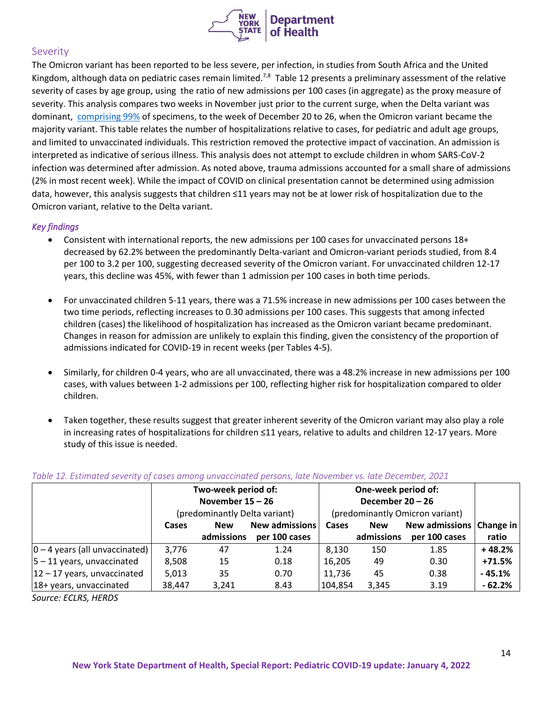

## <span id="page-13-0"></span>**Severity**

The Omicron variant has been reported to be less severe, per infection, in studies from South Africa and the United Kingdom, although data on pediatric cases remain limited.<sup>7,8</sup> Table 12 presents a preliminary assessment of the relative severity of cases by age group, using the ratio of new admissions per 100 cases (in aggregate) as the proxy measure of severity. This analysis compares two weeks in November just prior to the current surge, when the Delta variant was dominant, [comprising 99%](https://coronavirus.health.ny.gov/covid-19-variant-data) of specimens, to the week of December 20 to 26, when the Omicron variant became the majority variant. This table relates the number of hospitalizations relative to cases, for pediatric and adult age groups, and limited to unvaccinated individuals. This restriction removed the protective impact of vaccination. An admission is interpreted as indicative of serious illness. This analysis does not attempt to exclude children in whom SARS-CoV-2 infection was determined after admission. As noted above, trauma admissions accounted for a small share of admissions (2% in most recent week). While the impact of COVID on clinical presentation cannot be determined using admission data, however, this analysis suggests that children ≤11 years may not be at lower risk of hospitalization due to the Omicron variant, relative to the Delta variant.

## *Key findings*

- Consistent with international reports, the new admissions per 100 cases for unvaccinated persons 18+ decreased by 62.2% between the predominantly Delta-variant and Omicron-variant periods studied, from 8.4 per 100 to 3.2 per 100, suggesting decreased severity of the Omicron variant. For unvaccinated children 12-17 years, this decline was 45%, with fewer than 1 admission per 100 cases in both time periods.
- For unvaccinated children 5-11 years, there was a 71.5% increase in new admissions per 100 cases between the two time periods, reflecting increases to 0.30 admissions per 100 cases. This suggests that among infected children (cases) the likelihood of hospitalization has increased as the Omicron variant became predominant. Changes in reason for admission are unlikely to explain this finding, given the consistency of the proportion of admissions indicated for COVID-19 in recent weeks (per Tables 4-5).
- Similarly, for children 0-4 years, who are all unvaccinated, there was a 48.2% increase in new admissions per 100 cases, with values between 1-2 admissions per 100, reflecting higher risk for hospitalization compared to older children.
- Taken together, these results suggest that greater inherent severity of the Omicron variant may also play a role in increasing rates of hospitalizations for children ≤11 years, relative to adults and children 12-17 years. More study of this issue is needed.

|                                   |        | Two-week period of:<br>November $15 - 26$ |                       |                                 |            |                          |          |
|-----------------------------------|--------|-------------------------------------------|-----------------------|---------------------------------|------------|--------------------------|----------|
|                                   |        | (predominantly Delta variant)             |                       | (predominantly Omicron variant) |            |                          |          |
|                                   | Cases  | <b>New</b>                                | <b>New admissions</b> | Cases                           | <b>New</b> | New admissions Change in |          |
|                                   |        | admissions                                | per 100 cases         |                                 | admissions | per 100 cases            | ratio    |
| $ 0 - 4$ years (all unvaccinated) | 3,776  | 47                                        | 1.24                  | 8,130                           | 150        | 1.85                     | $+48.2%$ |
| $ 5 - 11$ years, unvaccinated     | 8,508  | 15                                        | 0.18                  | 16,205                          | 49         | 0.30                     | $+71.5%$ |
| $ 12 - 17$ years, unvaccinated    | 5,013  | 35                                        | 0.70                  | 11,736                          | 45         | 0.38                     | $-45.1%$ |
| 18+ years, unvaccinated           | 38,447 | 3,241                                     | 8.43                  | 104,854                         | 3,345      | 3.19                     | $-62.2%$ |

## *Table 12. Estimated severity of cases among unvaccinated persons, late November vs. late December, 2021*